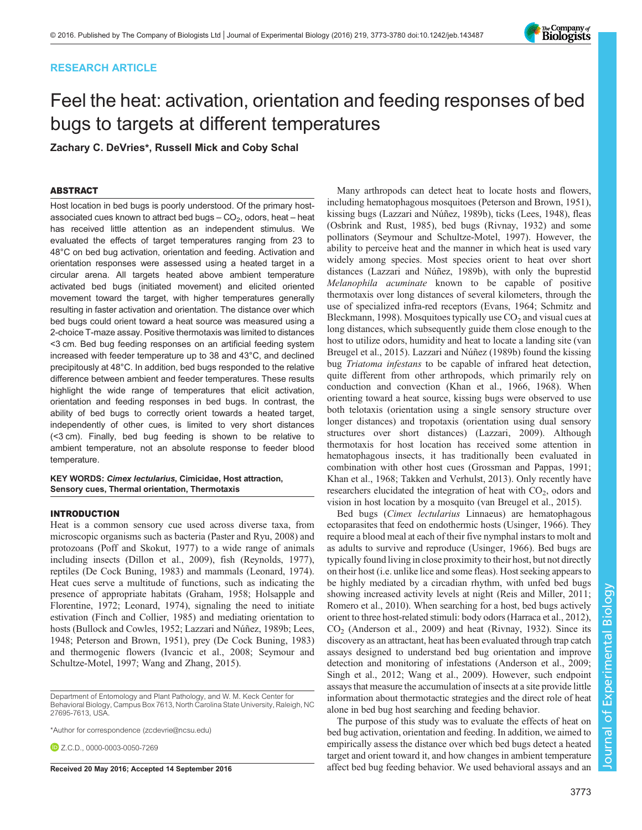# RESEARCH ARTICLE

# Feel the heat: activation, orientation and feeding responses of bed bugs to targets at different temperatures

Zachary C. DeVries\*, Russell Mick and Coby Schal

# ABSTRACT

Host location in bed bugs is poorly understood. Of the primary hostassociated cues known to attract bed bugs  $-$  CO<sub>2</sub>, odors, heat  $-$  heat has received little attention as an independent stimulus. We evaluated the effects of target temperatures ranging from 23 to 48°C on bed bug activation, orientation and feeding. Activation and orientation responses were assessed using a heated target in a circular arena. All targets heated above ambient temperature activated bed bugs (initiated movement) and elicited oriented movement toward the target, with higher temperatures generally resulting in faster activation and orientation. The distance over which bed bugs could orient toward a heat source was measured using a 2-choice T-maze assay. Positive thermotaxis was limited to distances <3 cm. Bed bug feeding responses on an artificial feeding system increased with feeder temperature up to 38 and 43°C, and declined precipitously at 48°C. In addition, bed bugs responded to the relative difference between ambient and feeder temperatures. These results highlight the wide range of temperatures that elicit activation, orientation and feeding responses in bed bugs. In contrast, the ability of bed bugs to correctly orient towards a heated target, independently of other cues, is limited to very short distances (<3 cm). Finally, bed bug feeding is shown to be relative to ambient temperature, not an absolute response to feeder blood temperature.

## KEY WORDS: Cimex lectularius, Cimicidae, Host attraction, Sensory cues, Thermal orientation, Thermotaxis

# INTRODUCTION

Heat is a common sensory cue used across diverse taxa, from microscopic organisms such as bacteria [\(Paster and Ryu, 2008](#page-7-0)) and protozoans [\(Poff and Skokut, 1977\)](#page-7-0) to a wide range of animals including insects ([Dillon et al., 2009\)](#page-6-0), fish ([Reynolds, 1977\)](#page-7-0), reptiles ([De Cock Buning, 1983\)](#page-6-0) and mammals [\(Leonard, 1974\)](#page-6-0). Heat cues serve a multitude of functions, such as indicating the presence of appropriate habitats ([Graham, 1958; Holsapple and](#page-6-0) [Florentine, 1972](#page-6-0); [Leonard, 1974](#page-6-0)), signaling the need to initiate estivation ([Finch and Collier, 1985\)](#page-6-0) and mediating orientation to hosts [\(Bullock and Cowles, 1952; Lazzari and Núñez, 1989b](#page-6-0); [Lees,](#page-6-0) [1948](#page-6-0); [Peterson and Brown, 1951](#page-7-0)), prey ([De Cock Buning, 1983\)](#page-6-0) and thermogenic flowers ([Ivancic et al., 2008;](#page-6-0) [Seymour and](#page-7-0) [Schultze-Motel, 1997](#page-7-0); [Wang and Zhang, 2015\)](#page-7-0).

\*Author for correspondence [\(zcdevrie@ncsu.edu\)](mailto:zcdevrie@ncsu.edu)

**D** 7 C.D., [0000-0003-0050-7269](http://orcid.org/0000-0003-0050-7269)

Many arthropods can detect heat to locate hosts and flowers, including hematophagous mosquitoes [\(Peterson and Brown, 1951\)](#page-7-0), kissing bugs ([Lazzari and Núñez, 1989b](#page-6-0)), ticks ([Lees, 1948](#page-6-0)), fleas [\(Osbrink and Rust, 1985](#page-7-0)), bed bugs [\(Rivnay, 1932](#page-7-0)) and some pollinators ([Seymour and Schultze-Motel, 1997](#page-7-0)). However, the ability to perceive heat and the manner in which heat is used vary widely among species. Most species orient to heat over short distances ([Lazzari and Núñez, 1989b](#page-6-0)), with only the buprestid Melanophila acuminate known to be capable of positive thermotaxis over long distances of several kilometers, through the use of specialized infra-red receptors ([Evans, 1964;](#page-6-0) [Schmitz and](#page-7-0) [Bleckmann, 1998](#page-7-0)). Mosquitoes typically use  $CO<sub>2</sub>$  and visual cues at long distances, which subsequently guide them close enough to the host to utilize odors, humidity and heat to locate a landing site [\(van](#page-7-0) [Breugel et al., 2015\)](#page-7-0). [Lazzari and Núñez \(1989b\)](#page-6-0) found the kissing bug Triatoma infestans to be capable of infrared heat detection, quite different from other arthropods, which primarily rely on conduction and convection ([Khan et al., 1966](#page-6-0), [1968](#page-6-0)). When orienting toward a heat source, kissing bugs were observed to use both telotaxis (orientation using a single sensory structure over longer distances) and tropotaxis (orientation using dual sensory structures over short distances) ([Lazzari, 2009](#page-6-0)). Although thermotaxis for host location has received some attention in hematophagous insects, it has traditionally been evaluated in combination with other host cues ([Grossman and Pappas, 1991](#page-6-0); [Khan et al., 1968](#page-6-0); [Takken and Verhulst, 2013\)](#page-7-0). Only recently have researchers elucidated the integration of heat with  $CO<sub>2</sub>$ , odors and vision in host location by a mosquito [\(van Breugel et al., 2015\)](#page-7-0).

Bed bugs (Cimex lectularius Linnaeus) are hematophagous ectoparasites that feed on endothermic hosts [\(Usinger, 1966\)](#page-7-0). They require a blood meal at each of their five nymphal instars to molt and as adults to survive and reproduce [\(Usinger, 1966\)](#page-7-0). Bed bugs are typically found living in close proximity to their host, but not directly on their host (i.e. unlike lice and some fleas). Host seeking appears to be highly mediated by a circadian rhythm, with unfed bed bugs showing increased activity levels at night [\(Reis and Miller, 2011](#page-7-0); [Romero et al., 2010\)](#page-7-0). When searching for a host, bed bugs actively orient to three host-related stimuli: body odors ([Harraca et al., 2012\)](#page-6-0),  $CO<sub>2</sub>$  ([Anderson et al., 2009](#page-6-0)) and heat ([Rivnay, 1932\)](#page-7-0). Since its discovery as an attractant, heat has been evaluated through trap catch assays designed to understand bed bug orientation and improve detection and monitoring of infestations ([Anderson et al., 2009](#page-6-0); [Singh et al., 2012; Wang et al., 2009](#page-7-0)). However, such endpoint assays that measure the accumulation of insects at a site provide little information about thermotactic strategies and the direct role of heat alone in bed bug host searching and feeding behavior.

The purpose of this study was to evaluate the effects of heat on bed bug activation, orientation and feeding. In addition, we aimed to empirically assess the distance over which bed bugs detect a heated target and orient toward it, and how changes in ambient temperature Received 20 May 2016; Accepted 14 September 2016 affect bed bug feeding behavior. We used behavioral assays and an

Biology



Department of Entomology and Plant Pathology, and W. M. Keck Center for Behavioral Biology, Campus Box 7613, North Carolina State University, Raleigh, NC 27695-7613, USA.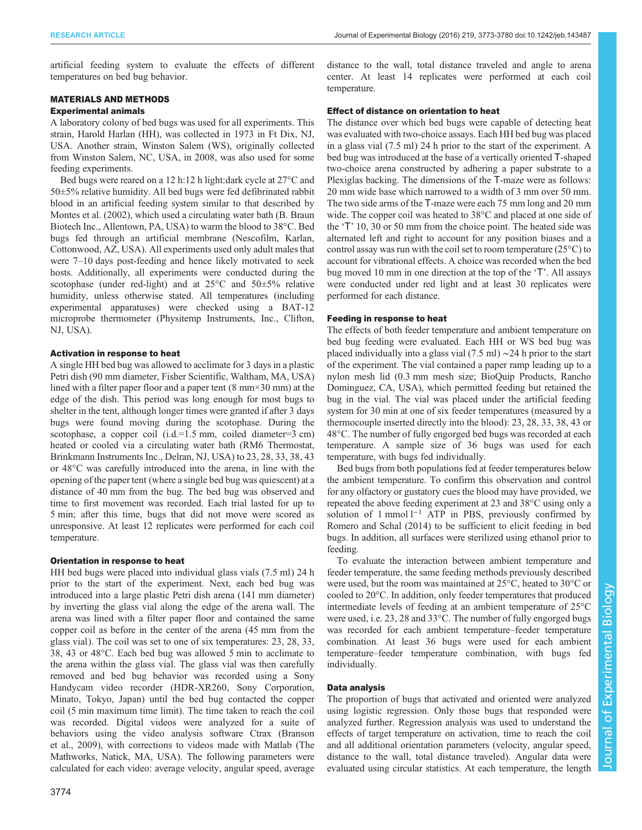artificial feeding system to evaluate the effects of different temperatures on bed bug behavior.

## MATERIALS AND METHODS

## Experimental animals

A laboratory colony of bed bugs was used for all experiments. This strain, Harold Harlan (HH), was collected in 1973 in Ft Dix, NJ, USA. Another strain, Winston Salem (WS), originally collected from Winston Salem, NC, USA, in 2008, was also used for some feeding experiments.

Bed bugs were reared on a 12 h:12 h light:dark cycle at 27°C and 50±5% relative humidity. All bed bugs were fed defibrinated rabbit blood in an artificial feeding system similar to that described by [Montes et al. \(2002\)](#page-7-0), which used a circulating water bath (B. Braun Biotech Inc., Allentown, PA, USA) to warm the blood to 38°C. Bed bugs fed through an artificial membrane (Nescofilm, Karlan, Cottonwood, AZ, USA). All experiments used only adult males that were 7–10 days post-feeding and hence likely motivated to seek hosts. Additionally, all experiments were conducted during the scotophase (under red-light) and at 25°C and 50±5% relative humidity, unless otherwise stated. All temperatures (including experimental apparatuses) were checked using a BAT-12 microprobe thermometer (Physitemp Instruments, Inc., Clifton, NJ, USA).

#### Activation in response to heat

A single HH bed bug was allowed to acclimate for 3 days in a plastic Petri dish (90 mm diameter, Fisher Scientific, Waltham, MA, USA) lined with a filter paper floor and a paper tent  $(8 \text{ mm} \times 30 \text{ mm})$  at the edge of the dish. This period was long enough for most bugs to shelter in the tent, although longer times were granted if after 3 days bugs were found moving during the scotophase. During the scotophase, a copper coil (i.d.=1.5 mm, coiled diameter=3 cm) heated or cooled via a circulating water bath (RM6 Thermostat, Brinkmann Instruments Inc., Delran, NJ, USA) to 23, 28, 33, 38, 43 or 48°C was carefully introduced into the arena, in line with the opening of the paper tent (where a single bed bug was quiescent) at a distance of 40 mm from the bug. The bed bug was observed and time to first movement was recorded. Each trial lasted for up to 5 min; after this time, bugs that did not move were scored as unresponsive. At least 12 replicates were performed for each coil temperature.

#### Orientation in response to heat

HH bed bugs were placed into individual glass vials (7.5 ml) 24 h prior to the start of the experiment. Next, each bed bug was introduced into a large plastic Petri dish arena (141 mm diameter) by inverting the glass vial along the edge of the arena wall. The arena was lined with a filter paper floor and contained the same copper coil as before in the center of the arena (45 mm from the glass vial). The coil was set to one of six temperatures: 23, 28, 33, 38, 43 or 48°C. Each bed bug was allowed 5 min to acclimate to the arena within the glass vial. The glass vial was then carefully removed and bed bug behavior was recorded using a Sony Handycam video recorder (HDR-XR260, Sony Corporation, Minato, Tokyo, Japan) until the bed bug contacted the copper coil (5 min maximum time limit). The time taken to reach the coil was recorded. Digital videos were analyzed for a suite of behaviors using the video analysis software Ctrax ([Branson](#page-6-0) [et al., 2009\)](#page-6-0), with corrections to videos made with Matlab (The Mathworks, Natick, MA, USA). The following parameters were calculated for each video: average velocity, angular speed, average

3774

distance to the wall, total distance traveled and angle to arena center. At least 14 replicates were performed at each coil temperature.

## Effect of distance on orientation to heat

The distance over which bed bugs were capable of detecting heat was evaluated with two-choice assays. Each HH bed bug was placed in a glass vial (7.5 ml) 24 h prior to the start of the experiment. A bed bug was introduced at the base of a vertically oriented T-shaped two-choice arena constructed by adhering a paper substrate to a Plexiglas backing. The dimensions of the T-maze were as follows: 20 mm wide base which narrowed to a width of 3 mm over 50 mm. The two side arms of the T-maze were each 75 mm long and 20 mm wide. The copper coil was heated to 38°C and placed at one side of the 'T' 10, 30 or 50 mm from the choice point. The heated side was alternated left and right to account for any position biases and a control assay was run with the coil set to room temperature (25°C) to account for vibrational effects. A choice was recorded when the bed bug moved 10 mm in one direction at the top of the 'T'. All assays were conducted under red light and at least 30 replicates were performed for each distance.

# Feeding in response to heat

The effects of both feeder temperature and ambient temperature on bed bug feeding were evaluated. Each HH or WS bed bug was placed individually into a glass vial (7.5 ml)  $\sim$ 24 h prior to the start of the experiment. The vial contained a paper ramp leading up to a nylon mesh lid (0.3 mm mesh size; BioQuip Products, Rancho Dominguez, CA, USA), which permitted feeding but retained the bug in the vial. The vial was placed under the artificial feeding system for 30 min at one of six feeder temperatures (measured by a thermocouple inserted directly into the blood): 23, 28, 33, 38, 43 or 48°C. The number of fully engorged bed bugs was recorded at each temperature. A sample size of 36 bugs was used for each temperature, with bugs fed individually.

Bed bugs from both populations fed at feeder temperatures below the ambient temperature. To confirm this observation and control for any olfactory or gustatory cues the blood may have provided, we repeated the above feeding experiment at 23 and 38°C using only a solution of 1 mmol  $l^{-1}$  ATP in PBS, previously confirmed by [Romero and Schal \(2014\)](#page-7-0) to be sufficient to elicit feeding in bed bugs. In addition, all surfaces were sterilized using ethanol prior to feeding.

To evaluate the interaction between ambient temperature and feeder temperature, the same feeding methods previously described were used, but the room was maintained at 25°C, heated to 30°C or cooled to 20°C. In addition, only feeder temperatures that produced intermediate levels of feeding at an ambient temperature of 25°C were used, i.e. 23, 28 and 33°C. The number of fully engorged bugs was recorded for each ambient temperature–feeder temperature combination. At least 36 bugs were used for each ambient temperature–feeder temperature combination, with bugs fed individually.

### Data analysis

The proportion of bugs that activated and oriented were analyzed using logistic regression. Only those bugs that responded were analyzed further. Regression analysis was used to understand the effects of target temperature on activation, time to reach the coil and all additional orientation parameters (velocity, angular speed, distance to the wall, total distance traveled). Angular data were evaluated using circular statistics. At each temperature, the length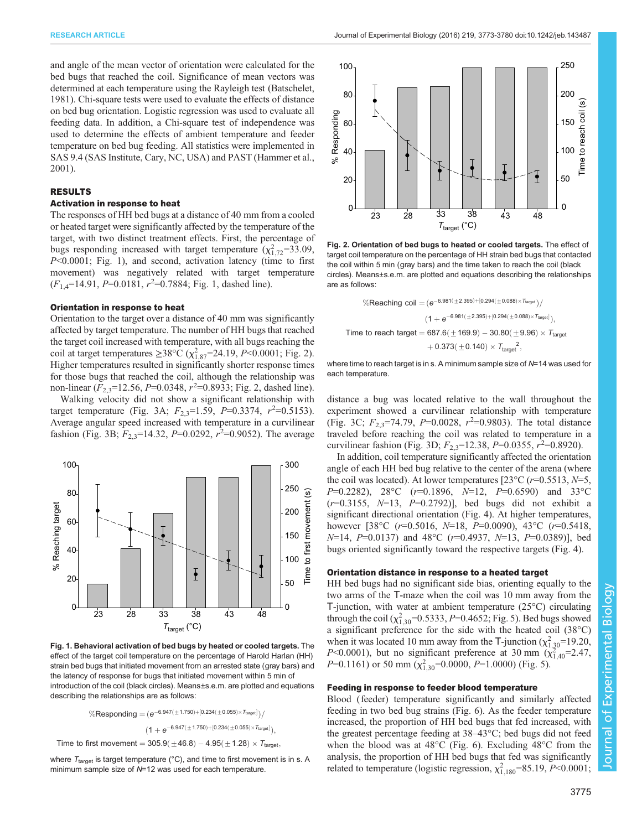and angle of the mean vector of orientation were calculated for the bed bugs that reached the coil. Significance of mean vectors was determined at each temperature using the Rayleigh test ([Batschelet,](#page-6-0) [1981](#page-6-0)). Chi-square tests were used to evaluate the effects of distance on bed bug orientation. Logistic regression was used to evaluate all feeding data. In addition, a Chi-square test of independence was used to determine the effects of ambient temperature and feeder temperature on bed bug feeding. All statistics were implemented in SAS 9.4 (SAS Institute, Cary, NC, USA) and PAST [\(Hammer et al.,](#page-6-0) [2001](#page-6-0)).

## RESULTS

#### Activation in response to heat

The responses of HH bed bugs at a distance of 40 mm from a cooled or heated target were significantly affected by the temperature of the target, with two distinct treatment effects. First, the percentage of bugs responding increased with target temperature  $(\chi^2_{1,72} = 33.09,$  $P<0.0001$ ; Fig. 1), and second, activation latency (time to first movement) was negatively related with target temperature  $(F<sub>1,4</sub>=14.91, P=0.0181, r<sup>2</sup>=0.7884; Fig. 1, dashed line).$ 

#### Orientation in response to heat

Orientation to the target over a distance of 40 mm was significantly affected by target temperature. The number of HH bugs that reached the target coil increased with temperature, with all bugs reaching the coil at target temperatures  $\geq 38^{\circ}C \left( \chi^{2}_{1,87} = 24.19, P \leq 0.0001; \text{ Fig. 2} \right)$ . Higher temperatures resulted in significantly shorter response times for those bugs that reached the coil, although the relationship was non-linear ( $\bar{F}_{2,3}$ =12.56, P=0.0348,  $r^2$ =0.8933; Fig. 2, dashed line).

Walking velocity did not show a significant relationship with target temperature ([Fig. 3A](#page-3-0);  $F_{2,3}$ =1.59, P=0.3374,  $r^2$ =0.5153). Average angular speed increased with temperature in a curvilinear fashion ([Fig. 3B](#page-3-0);  $F_{2,3}$ =14.32, P=0.0292,  $r^2$ =0.9052). The average



Fig. 1. Behavioral activation of bed bugs by heated or cooled targets. The effect of the target coil temperature on the percentage of Harold Harlan (HH) strain bed bugs that initiated movement from an arrested state (gray bars) and the latency of response for bugs that initiated movement within 5 min of introduction of the coil (black circles). Means±s.e.m. are plotted and equations describing the relationships are as follows:

$$
\%\text{Responding} = (e^{-6.947(\pm 1.750) + [0.234(\pm 0.055) \times T_{target}]}) /
$$
  

$$
(1 + e^{-6.947(\pm 1.750) + [0.234(\pm 0.055) \times T_{target}]}),
$$

Time to first movement  $= 305.9(\pm 46.8) - 4.95(\pm 1.28) \times T_{\text{target}},$ 

where  $T_{\text{target}}$  is target temperature (°C), and time to first movement is in s. A minimum sample size of N=12 was used for each temperature.



Fig. 2. Orientation of bed bugs to heated or cooled targets. The effect of target coil temperature on the percentage of HH strain bed bugs that contacted the coil within 5 min (gray bars) and the time taken to reach the coil (black circles). Means±s.e.m. are plotted and equations describing the relationships are as follows:

$$
\%\text{Reading coil} = (e^{-6.981(\pm 2.395) + [0.294(\pm 0.088) \times T_{\text{larget}})} /\\ (1 + e^{-6.981(\pm 2.395) + [0.294(\pm 0.088) \times T_{\text{larget}}]}),\\ \text{Time to reach target} = 687.6(\pm 169.9) - 30.80(\pm 9.96) \times T_{\text{target}} \\ + 0.373(\pm 0.140) \times T_{\text{target}}^2,
$$

where time to reach target is in s. A minimum sample size of N=14 was used for each temperature.

distance a bug was located relative to the wall throughout the experiment showed a curvilinear relationship with temperature [\(Fig. 3](#page-3-0)C;  $F_{2,3}$ =74.79, P=0.0028,  $r^2$ =0.9803). The total distance traveled before reaching the coil was related to temperature in a curvilinear fashion ([Fig. 3](#page-3-0)D;  $F_{2,3}$ =12.38, P=0.0355,  $r^2$ =0.8920).

In addition, coil temperature significantly affected the orientation angle of each HH bed bug relative to the center of the arena (where the coil was located). At lower temperatures [23 $^{\circ}$ C (r=0.5513, N=5,  $P=0.2282$ ,  $28^{\circ}$ C ( $r=0.1896$ ,  $N=12$ ,  $P=0.6590$ ) and  $33^{\circ}$ C  $(r=0.3155, N=13, P=0.2792)$ ], bed bugs did not exhibit a significant directional orientation ([Fig. 4](#page-3-0)). At higher temperatures, however  $[38^{\circ}\text{C}$  (r=0.5016, N=18, P=0.0090), 43 $^{\circ}\text{C}$  (r=0.5418,  $N=14$ ,  $P=0.0137$ ) and  $48^{\circ}$ C ( $r=0.4937$ ,  $N=13$ ,  $P=0.0389$ )], bed bugs oriented significantly toward the respective targets [\(Fig. 4\)](#page-3-0).

#### Orientation distance in response to a heated target

HH bed bugs had no significant side bias, orienting equally to the two arms of the T-maze when the coil was 10 mm away from the T-junction, with water at ambient temperature (25°C) circulating through the coil  $(\chi_{1,30}^2=0.5333, P=0.4652;$  [Fig. 5](#page-4-0)). Bed bugs showed a significant preference for the side with the heated coil (38°C) when it was located 10 mm away from the T-junction  $(\chi^2_{1,30} = 19.20,$ P<0.0001), but no significant preference at 30 mm  $(\chi_{1,40}^{20} = 2.47,$  $P=0.1161$ ) or 50 mm  $(\chi_{1,30}^2=0.0000, P=1.0000)$  ([Fig. 5](#page-4-0)).

#### Feeding in response to feeder blood temperature

Blood (feeder) temperature significantly and similarly affected feeding in two bed bug strains ([Fig. 6](#page-4-0)). As the feeder temperature increased, the proportion of HH bed bugs that fed increased, with the greatest percentage feeding at 38–43°C; bed bugs did not feed when the blood was at 48°C ([Fig. 6](#page-4-0)). Excluding 48°C from the analysis, the proportion of HH bed bugs that fed was significantly related to temperature (logistic regression,  $\chi_{1,180}^2$ =85.19, P<0.0001;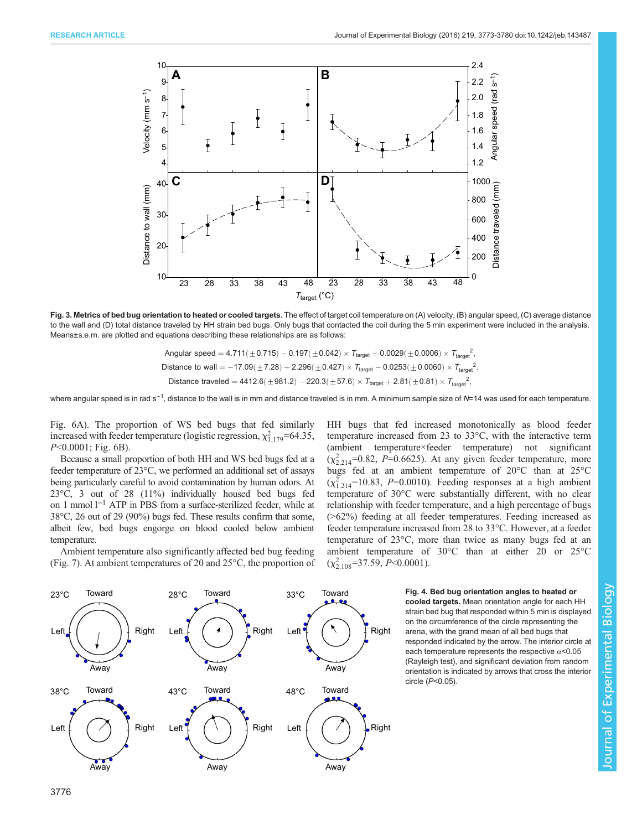<span id="page-3-0"></span>

Fig. 3. Metrics of bed bug orientation to heated or cooled targets. The effect of target coil temperature on (A) velocity, (B) angular speed, (C) average distance to the wall and (D) total distance traveled by HH strain bed bugs. Only bugs that contacted the coil during the 5 min experiment were included in the analysis. Means±s.e.m. are plotted and equations describing these relationships are as follows:

Angular speed  $=4.711(\pm0.715)-0.197(\pm0.042)\times T_{\text{target}}+0.0029(\pm0.0006)\times {T_{\text{target}}}^2,$ Distance to wall  $= -17.09(\pm 7.28) + 2.296(\pm 0.427) \times T_{\text{target}} - 0.0253(\pm 0.0060) \times T_{\text{target}}^2$ Distance traveled = 4412.6( $\pm$ 981.2) - 220.3( $\pm$ 57.6)  $\times$   $\mathcal{T}_{\text{target}}$  + 2.81( $\pm$ 0.81)  $\times$   $\mathcal{T}_{\text{target}}$ <sup>2</sup>,

where angular speed is in rad s<sup>−1</sup>, distance to the wall is in mm and distance traveled is in mm. A minimum sample size of N=14 was used for each temperature.

[Fig. 6](#page-4-0)A). The proportion of WS bed bugs that fed similarly increased with feeder temperature (logistic regression,  $\chi_{1,179}^2$ =64.35, P<0.0001; [Fig. 6B](#page-4-0)).

Because a small proportion of both HH and WS bed bugs fed at a feeder temperature of 23°C, we performed an additional set of assays being particularly careful to avoid contamination by human odors. At 23°C, 3 out of 28 (11%) individually housed bed bugs fed on 1 mmol l−<sup>1</sup> ATP in PBS from a surface-sterilized feeder, while at 38°C, 26 out of 29 (90%) bugs fed. These results confirm that some, albeit few, bed bugs engorge on blood cooled below ambient temperature.

Ambient temperature also significantly affected bed bug feeding [\(Fig. 7](#page-4-0)). At ambient temperatures of 20 and 25°C, the proportion of HH bugs that fed increased monotonically as blood feeder temperature increased from 23 to 33°C, with the interactive term (ambient temperature×feeder temperature) not significant  $(\chi_{2,214}^2$ =0.82, P=0.6625). At any given feeder temperature, more bugs fed at an ambient temperature of 20°C than at 25°C  $(\chi_{1,214}^2$ =10.83, P=0.0010). Feeding responses at a high ambient temperature of 30°C were substantially different, with no clear relationship with feeder temperature, and a high percentage of bugs (>62%) feeding at all feeder temperatures. Feeding increased as feeder temperature increased from 28 to 33°C. However, at a feeder temperature of 23°C, more than twice as many bugs fed at an ambient temperature of 30°C than at either 20 or 25°C  $(\chi_{2,108}^2$ =37.59, P<0.0001).



Journal of Experimental Biologylournal of Experimental Biology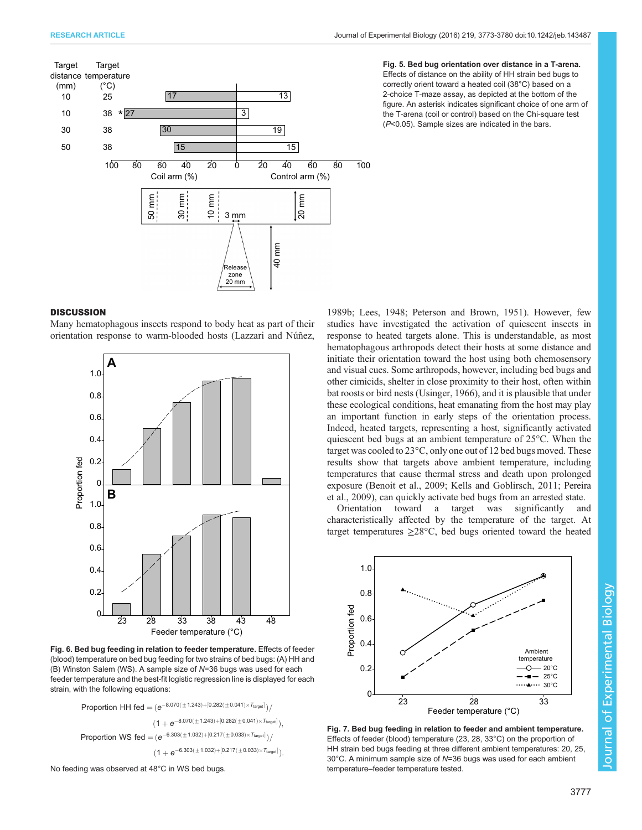<span id="page-4-0"></span>

Fig. 5. Bed bug orientation over distance in a T-arena. Effects of distance on the ability of HH strain bed bugs to correctly orient toward a heated coil (38°C) based on a 2-choice T-maze assay, as depicted at the bottom of the figure. An asterisk indicates significant choice of one arm of the T-arena (coil or control) based on the Chi-square test (P<0.05). Sample sizes are indicated in the bars.

# **DISCUSSION**

Many hematophagous insects respond to body heat as part of their orientation response to warm-blooded hosts ([Lazzari and Núñez,](#page-6-0)



Fig. 6. Bed bug feeding in relation to feeder temperature. Effects of feeder (blood) temperature on bed bug feeding for two strains of bed bugs: (A) HH and (B) Winston Salem (WS). A sample size of N=36 bugs was used for each feeder temperature and the best-fit logistic regression line is displayed for each strain, with the following equations:

Proportion HH fed = 
$$
(e^{-8.070(\pm 1.243) + [0.282(\pm 0.041) \times T_{target}]})/
$$

\n
$$
(1 + e^{-8.070(\pm 1.243) + [0.282(\pm 0.041) \times T_{target}]})
$$
\nProportion WS fed = 
$$
(e^{-6.303(\pm 1.032) + [0.217(\pm 0.033) \times T_{target}]})/
$$

\n
$$
(1 + e^{-6.303(\pm 1.032) + [0.217(\pm 0.033) \times T_{target}]})
$$

No feeding was observed at 48°C in WS bed bugs.

[1989b; Lees, 1948](#page-6-0); [Peterson and Brown, 1951](#page-7-0)). However, few studies have investigated the activation of quiescent insects in response to heated targets alone. This is understandable, as most hematophagous arthropods detect their hosts at some distance and initiate their orientation toward the host using both chemosensory and visual cues. Some arthropods, however, including bed bugs and other cimicids, shelter in close proximity to their host, often within bat roosts or bird nests ([Usinger, 1966\)](#page-7-0), and it is plausible that under these ecological conditions, heat emanating from the host may play an important function in early steps of the orientation process. Indeed, heated targets, representing a host, significantly activated quiescent bed bugs at an ambient temperature of 25°C. When the target was cooled to 23°C, only one out of 12 bed bugs moved. These results show that targets above ambient temperature, including temperatures that cause thermal stress and death upon prolonged exposure [\(Benoit et al., 2009](#page-6-0); [Kells and Goblirsch, 2011](#page-6-0); [Pereira](#page-7-0) [et al., 2009](#page-7-0)), can quickly activate bed bugs from an arrested state.

Orientation toward a target was significantly and characteristically affected by the temperature of the target. At target temperatures  $\geq$ 28°C, bed bugs oriented toward the heated



Fig. 7. Bed bug feeding in relation to feeder and ambient temperature. Effects of feeder (blood) temperature (23, 28, 33°C) on the proportion of HH strain bed bugs feeding at three different ambient temperatures: 20, 25, 30°C. A minimum sample size of N=36 bugs was used for each ambient temperature–feeder temperature tested.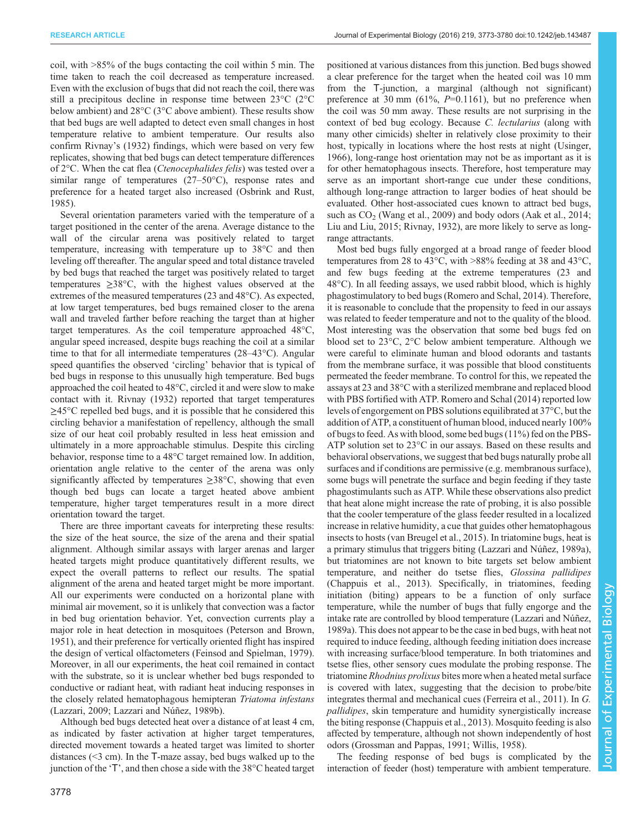coil, with >85% of the bugs contacting the coil within 5 min. The time taken to reach the coil decreased as temperature increased. Even with the exclusion of bugs that did not reach the coil, there was still a precipitous decline in response time between 23°C (2°C below ambient) and 28°C (3°C above ambient). These results show that bed bugs are well adapted to detect even small changes in host temperature relative to ambient temperature. Our results also confirm Rivnay'[s \(1932\)](#page-7-0) findings, which were based on very few replicates, showing that bed bugs can detect temperature differences of 2°C. When the cat flea (Ctenocephalides felis) was tested over a similar range of temperatures (27–50°C), response rates and preference for a heated target also increased ([Osbrink and Rust,](#page-7-0) [1985](#page-7-0)).

Several orientation parameters varied with the temperature of a target positioned in the center of the arena. Average distance to the wall of the circular arena was positively related to target temperature, increasing with temperature up to 38°C and then leveling off thereafter. The angular speed and total distance traveled by bed bugs that reached the target was positively related to target temperatures  $\geq 38^{\circ}$ C, with the highest values observed at the extremes of the measured temperatures (23 and 48°C). As expected, at low target temperatures, bed bugs remained closer to the arena wall and traveled farther before reaching the target than at higher target temperatures. As the coil temperature approached 48°C, angular speed increased, despite bugs reaching the coil at a similar time to that for all intermediate temperatures (28–43°C). Angular speed quantifies the observed 'circling' behavior that is typical of bed bugs in response to this unusually high temperature. Bed bugs approached the coil heated to 48°C, circled it and were slow to make contact with it. [Rivnay \(1932\)](#page-7-0) reported that target temperatures ≥45°C repelled bed bugs, and it is possible that he considered this circling behavior a manifestation of repellency, although the small size of our heat coil probably resulted in less heat emission and ultimately in a more approachable stimulus. Despite this circling behavior, response time to a 48°C target remained low. In addition, orientation angle relative to the center of the arena was only significantly affected by temperatures  $\geq 38^{\circ}$ C, showing that even though bed bugs can locate a target heated above ambient temperature, higher target temperatures result in a more direct orientation toward the target.

There are three important caveats for interpreting these results: the size of the heat source, the size of the arena and their spatial alignment. Although similar assays with larger arenas and larger heated targets might produce quantitatively different results, we expect the overall patterns to reflect our results. The spatial alignment of the arena and heated target might be more important. All our experiments were conducted on a horizontal plane with minimal air movement, so it is unlikely that convection was a factor in bed bug orientation behavior. Yet, convection currents play a major role in heat detection in mosquitoes [\(Peterson and Brown,](#page-7-0) [1951](#page-7-0)), and their preference for vertically oriented flight has inspired the design of vertical olfactometers ([Feinsod and Spielman, 1979\)](#page-6-0). Moreover, in all our experiments, the heat coil remained in contact with the substrate, so it is unclear whether bed bugs responded to conductive or radiant heat, with radiant heat inducing responses in the closely related hematophagous hemipteran Triatoma infestans [\(Lazzari, 2009](#page-6-0); [Lazzari and Núñez, 1989b\)](#page-6-0).

Although bed bugs detected heat over a distance of at least 4 cm, as indicated by faster activation at higher target temperatures, directed movement towards a heated target was limited to shorter distances  $(\leq 3$  cm). In the T-maze assay, bed bugs walked up to the junction of the 'T', and then chose a side with the 38°C heated target positioned at various distances from this junction. Bed bugs showed a clear preference for the target when the heated coil was 10 mm from the T-junction, a marginal (although not significant) preference at 30 mm (61%,  $P=0.1161$ ), but no preference when the coil was 50 mm away. These results are not surprising in the context of bed bug ecology. Because C. lectularius (along with many other cimicids) shelter in relatively close proximity to their host, typically in locations where the host rests at night ([Usinger,](#page-7-0) [1966\)](#page-7-0), long-range host orientation may not be as important as it is for other hematophagous insects. Therefore, host temperature may serve as an important short-range cue under these conditions, although long-range attraction to larger bodies of heat should be evaluated. Other host-associated cues known to attract bed bugs, such as  $CO<sub>2</sub>$  [\(Wang et al., 2009](#page-7-0)) and body odors [\(Aak et al., 2014](#page-6-0); [Liu and Liu, 2015](#page-6-0); [Rivnay, 1932\)](#page-7-0), are more likely to serve as longrange attractants.

Most bed bugs fully engorged at a broad range of feeder blood temperatures from 28 to 43°C, with >88% feeding at 38 and 43°C, and few bugs feeding at the extreme temperatures (23 and 48°C). In all feeding assays, we used rabbit blood, which is highly phagostimulatory to bed bugs ([Romero and Schal, 2014\)](#page-7-0). Therefore, it is reasonable to conclude that the propensity to feed in our assays was related to feeder temperature and not to the quality of the blood. Most interesting was the observation that some bed bugs fed on blood set to 23°C, 2°C below ambient temperature. Although we were careful to eliminate human and blood odorants and tastants from the membrane surface, it was possible that blood constituents permeated the feeder membrane. To control for this, we repeated the assays at 23 and 38°C with a sterilized membrane and replaced blood with PBS fortified with ATP. [Romero and Schal \(2014\)](#page-7-0) reported low levels of engorgement on PBS solutions equilibrated at 37°C, but the addition of ATP, a constituent of human blood, induced nearly 100% of bugs to feed. As with blood, some bed bugs (11%) fed on the PBS-ATP solution set to 23°C in our assays. Based on these results and behavioral observations, we suggest that bed bugs naturally probe all surfaces and if conditions are permissive (e.g. membranous surface), some bugs will penetrate the surface and begin feeding if they taste phagostimulants such as ATP. While these observations also predict that heat alone might increase the rate of probing, it is also possible that the cooler temperature of the glass feeder resulted in a localized increase in relative humidity, a cue that guides other hematophagous insects to hosts ([van Breugel et al., 2015\)](#page-7-0). In triatomine bugs, heat is a primary stimulus that triggers biting [\(Lazzari and Núñez, 1989a\)](#page-6-0), but triatomines are not known to bite targets set below ambient temperature, and neither do tsetse flies, Glossina pallidipes [\(Chappuis et al., 2013\)](#page-6-0). Specifically, in triatomines, feeding initiation (biting) appears to be a function of only surface temperature, while the number of bugs that fully engorge and the intake rate are controlled by blood temperature ([Lazzari and Núñez,](#page-6-0) [1989a](#page-6-0)). This does not appear to be the case in bed bugs, with heat not required to induce feeding, although feeding initiation does increase with increasing surface/blood temperature. In both triatomines and tsetse flies, other sensory cues modulate the probing response. The triatomine Rhodnius prolixus bites more when a heated metal surface is covered with latex, suggesting that the decision to probe/bite integrates thermal and mechanical cues [\(Ferreira et al., 2011](#page-6-0)). In G. pallidipes, skin temperature and humidity synergistically increase the biting response ([Chappuis et al., 2013](#page-6-0)). Mosquito feeding is also affected by temperature, although not shown independently of host odors ([Grossman and Pappas, 1991;](#page-6-0) [Willis, 1958](#page-7-0)).

The feeding response of bed bugs is complicated by the interaction of feeder (host) temperature with ambient temperature.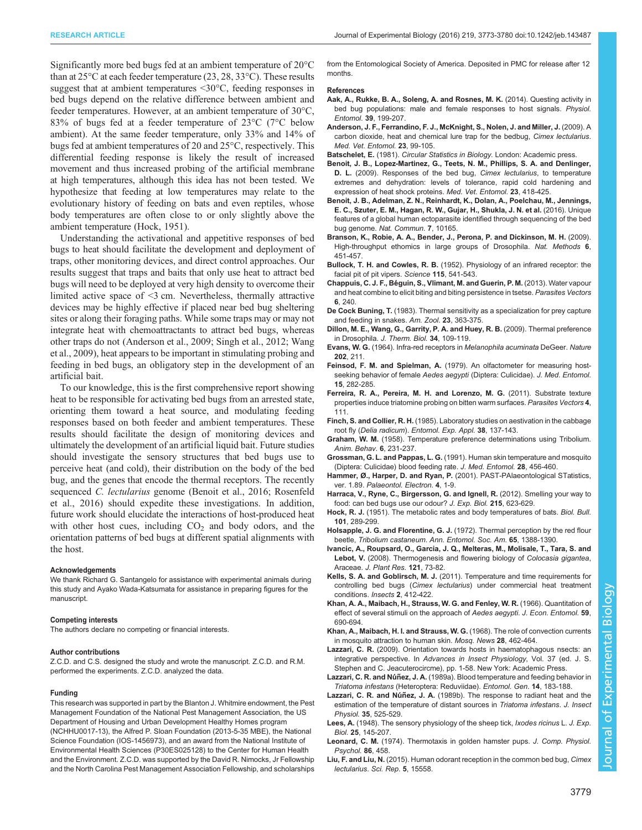<span id="page-6-0"></span>Significantly more bed bugs fed at an ambient temperature of 20°C than at  $25^{\circ}$ C at each feeder temperature (23, 28, 33 $^{\circ}$ C). These results suggest that at ambient temperatures <30°C, feeding responses in bed bugs depend on the relative difference between ambient and feeder temperatures. However, at an ambient temperature of 30°C, 83% of bugs fed at a feeder temperature of 23°C (7°C below ambient). At the same feeder temperature, only 33% and 14% of bugs fed at ambient temperatures of 20 and 25°C, respectively. This differential feeding response is likely the result of increased movement and thus increased probing of the artificial membrane at high temperatures, although this idea has not been tested. We hypothesize that feeding at low temperatures may relate to the evolutionary history of feeding on bats and even reptiles, whose body temperatures are often close to or only slightly above the ambient temperature (Hock, 1951).

Understanding the activational and appetitive responses of bed bugs to heat should facilitate the development and deployment of traps, other monitoring devices, and direct control approaches. Our results suggest that traps and baits that only use heat to attract bed bugs will need to be deployed at very high density to overcome their limited active space of <3 cm. Nevertheless, thermally attractive devices may be highly effective if placed near bed bug sheltering sites or along their foraging paths. While some traps may or may not integrate heat with chemoattractants to attract bed bugs, whereas other traps do not (Anderson et al., 2009; [Singh et al., 2012; Wang](#page-7-0) [et al., 2009\)](#page-7-0), heat appears to be important in stimulating probing and feeding in bed bugs, an obligatory step in the development of an artificial bait.

To our knowledge, this is the first comprehensive report showing heat to be responsible for activating bed bugs from an arrested state, orienting them toward a heat source, and modulating feeding responses based on both feeder and ambient temperatures. These results should facilitate the design of monitoring devices and ultimately the development of an artificial liquid bait. Future studies should investigate the sensory structures that bed bugs use to perceive heat (and cold), their distribution on the body of the bed bug, and the genes that encode the thermal receptors. The recently sequenced C. lectularius genome (Benoit et al., 2016; [Rosenfeld](#page-7-0) [et al., 2016](#page-7-0)) should expedite these investigations. In addition, future work should elucidate the interactions of host-produced heat with other host cues, including  $CO<sub>2</sub>$  and body odors, and the orientation patterns of bed bugs at different spatial alignments with the host.

#### Acknowledgements

We thank Richard G. Santangelo for assistance with experimental animals during this study and Ayako Wada-Katsumata for assistance in preparing figures for the manuscript.

#### Competing interests

The authors declare no competing or financial interests.

#### Author contributions

Z.C.D. and C.S. designed the study and wrote the manuscript. Z.C.D. and R.M. performed the experiments. Z.C.D. analyzed the data.

#### Funding

This research was supported in part by the Blanton J. Whitmire endowment, the Pest Management Foundation of the National Pest Management Association, the US Department of Housing and Urban Development Healthy Homes program (NCHHU0017-13), the Alfred P. Sloan Foundation (2013-5-35 MBE), the National Science Foundation (IOS-1456973), and an award from the National Institute of Environmental Health Sciences (P30ES025128) to the Center for Human Health and the Environment. Z.C.D. was supported by the David R. Nimocks, Jr Fellowship and the North Carolina Pest Management Association Fellowship, and scholarships from the Entomological Society of America. Deposited in PMC for release after 12 months.

#### References

- [Aak, A., Rukke, B. A., Soleng, A. and Rosnes, M. K.](http://dx.doi.org/10.1111/phen.12062) (2014). Questing activity in [bed bug populations: male and female responses to host signals.](http://dx.doi.org/10.1111/phen.12062) Physiol. Entomol. 39[, 199-207.](http://dx.doi.org/10.1111/phen.12062)
- [Anderson, J. F., Ferrandino, F. J., McKnight, S., Nolen, J. and Miller, J.](http://dx.doi.org/10.1111/j.1365-2915.2008.00790.x) (2009). A [carbon dioxide, heat and chemical lure trap for the bedbug,](http://dx.doi.org/10.1111/j.1365-2915.2008.00790.x) Cimex lectularius. [Med. Vet. Entomol.](http://dx.doi.org/10.1111/j.1365-2915.2008.00790.x) 23, 99-105.
- Batschelet, E. (1981). Circular Statistics in Biology. London: Academic press.
- [Benoit, J. B., Lopez-Martinez, G., Teets, N. M., Phillips, S. A. and Denlinger,](http://dx.doi.org/10.1111/j.1365-2915.2009.00832.x) D. L. [\(2009\). Responses of the bed bug,](http://dx.doi.org/10.1111/j.1365-2915.2009.00832.x) Cimex lectularius, to temperature [extremes and dehydration: levels of tolerance, rapid cold hardening and](http://dx.doi.org/10.1111/j.1365-2915.2009.00832.x) [expression of heat shock proteins.](http://dx.doi.org/10.1111/j.1365-2915.2009.00832.x) Med. Vet. Entomol. 23, 418-425.
- [Benoit, J. B., Adelman, Z. N., Reinhardt, K., Dolan, A., Poelchau, M., Jennings,](http://dx.doi.org/10.1038/ncomms10165) [E. C., Szuter, E. M., Hagan, R. W., Gujar, H., Shukla, J. N. et al.](http://dx.doi.org/10.1038/ncomms10165) (2016). Unique [features of a global human ectoparasite identified through sequencing of the bed](http://dx.doi.org/10.1038/ncomms10165) bug genome. [Nat. Commun.](http://dx.doi.org/10.1038/ncomms10165) 7, 10165.
- [Branson, K., Robie, A. A., Bender, J., Perona, P. and Dickinson, M. H.](http://dx.doi.org/10.1038/nmeth.1328) (2009). [High-throughput ethomics in large groups of Drosophila.](http://dx.doi.org/10.1038/nmeth.1328) Nat. Methods 6, [451-457.](http://dx.doi.org/10.1038/nmeth.1328)
- Bullock, T. H. and Cowles, R. B. [\(1952\). Physiology of an infrared receptor: the](http://dx.doi.org/10.1126/science.115.2994.541-a) [facial pit of pit vipers.](http://dx.doi.org/10.1126/science.115.2994.541-a) Science 115, 541-543.
- Chappuis, C. J. F., Bé[guin, S., Vlimant, M. and Guerin, P. M.](http://dx.doi.org/10.1186/1756-3305-6-240) (2013). Water vapour [and heat combine to elicit biting and biting persistence in tsetse.](http://dx.doi.org/10.1186/1756-3305-6-240) Parasites Vectors 6[, 240.](http://dx.doi.org/10.1186/1756-3305-6-240)
- De Cock Buning, T. [\(1983\). Thermal sensitivity as a specialization for prey capture](http://dx.doi.org/10.1093/icb/23.2.363) [and feeding in snakes.](http://dx.doi.org/10.1093/icb/23.2.363) Am. Zool. 23, 363-375.
- [Dillon, M. E., Wang, G., Garrity, P. A. and Huey, R. B.](http://dx.doi.org/10.1016/j.jtherbio.2008.11.007) (2009). Thermal preference in Drosophila. [J. Therm. Biol.](http://dx.doi.org/10.1016/j.jtherbio.2008.11.007) 34, 109-119.
- Evans, W. G. [\(1964\). Infra-red receptors in](http://dx.doi.org/10.1038/202211a0) Melanophila acuminata DeGeer. Nature 202[, 211.](http://dx.doi.org/10.1038/202211a0)
- Feinsod, F. M. and Spielman, A. [\(1979\). An olfactometer for measuring host](http://dx.doi.org/10.1093/jmedent/15.3.282)[seeking behavior of female](http://dx.doi.org/10.1093/jmedent/15.3.282) Aedes aegypti (Diptera: Culicidae). J. Med. Entomol. 15[, 282-285.](http://dx.doi.org/10.1093/jmedent/15.3.282)
- [Ferreira, R. A., Pereira, M. H. and Lorenzo, M. G.](http://dx.doi.org/10.1186/1756-3305-4-111) (2011). Substrate texture [properties induce triatomine probing on bitten warm surfaces.](http://dx.doi.org/10.1186/1756-3305-4-111) Parasites Vectors 4, [111.](http://dx.doi.org/10.1186/1756-3305-4-111)
- Finch, S. and Collier, R. H. [\(1985\). Laboratory studies on aestivation in the cabbage](http://dx.doi.org/10.1111/j.1570-7458.1985.tb03510.x) root fly (Delia radicum). [Entomol. Exp. Appl.](http://dx.doi.org/10.1111/j.1570-7458.1985.tb03510.x) 38, 137-143.
- Graham, W. M. [\(1958\). Temperature preference determinations using Tribolium.](http://dx.doi.org/10.1016/0003-3472(58)90056-3) [Anim. Behav.](http://dx.doi.org/10.1016/0003-3472(58)90056-3) 6, 231-237.
- Grossman, G. L. and Pappas, L. G. [\(1991\). Human skin temperature and mosquito](http://dx.doi.org/10.1093/jmedent/28.3.456) [\(Diptera: Culicidae\) blood feeding rate.](http://dx.doi.org/10.1093/jmedent/28.3.456) J. Med. Entomol. 28, 456-460.
- Hammer, Ø., Harper, D. and Ryan, P. (2001). PAST-PAlaeontological STatistics, ver. 1.89. Palaeontol. Electron. 4, 1-9.
- [Harraca, V., Ryne, C., Birgersson, G. and Ignell, R.](http://dx.doi.org/10.1242/jeb.065748) (2012). Smelling your way to [food: can bed bugs use our odour?](http://dx.doi.org/10.1242/jeb.065748) J. Exp. Biol. 215, 623-629.
- Hock, R. J. [\(1951\). The metabolic rates and body temperatures of bats.](http://dx.doi.org/10.2307/1538547) Biol. Bull. 101[, 289-299.](http://dx.doi.org/10.2307/1538547)
- Holsapple, J. G. and Florentine, G. J. [\(1972\). Thermal perception by the red flour](http://dx.doi.org/10.1093/aesa/65.6.1388) beetle, Tribolium castaneum. [Ann. Entomol. Soc. Am.](http://dx.doi.org/10.1093/aesa/65.6.1388) 65, 1388-1390.
- [Ivancic, A., Roupsard, O., Garcia, J. Q., Melteras, M., Molisale, T., Tara, S. and](http://dx.doi.org/10.1007/s10265-007-0129-5) Lebot, V. [\(2008\). Thermogenesis and flowering biology of](http://dx.doi.org/10.1007/s10265-007-0129-5) Colocasia gigantea, Araceae. [J. Plant Res.](http://dx.doi.org/10.1007/s10265-007-0129-5) 121, 73-82.
- Kells, S. A. and Goblirsch, M. J. [\(2011\). Temperature and time requirements for](http://dx.doi.org/10.3390/insects2030412) controlling bed bugs (Cimex lectularius[\) under commercial heat treatment](http://dx.doi.org/10.3390/insects2030412) [conditions.](http://dx.doi.org/10.3390/insects2030412) Insects 2, 412-422.
- [Khan, A. A., Maibach, H., Strauss, W. G. and Fenley, W. R.](http://dx.doi.org/10.1093/jee/59.3.690) (1966). Quantitation of [effect of several stimuli on the approach of](http://dx.doi.org/10.1093/jee/59.3.690) Aedes aegypti. J. Econ. Entomol. 59, [690-694.](http://dx.doi.org/10.1093/jee/59.3.690)
- Khan, A., Maibach, H. I. and Strauss, W. G. (1968). The role of convection currents in mosquito attraction to human skin. Mosq. News 28, 462-464.
- Lazzari, C. R. (2009). Orientation towards hosts in haematophagous nsects: an integrative perspective. In Advances in Insect Physiology, Vol. 37 (ed. J. S. Stephen and C. Jeacuterocircme), pp. 1-58. New York: Academic Press.
- Lazzari, C. R. and Núñez, J. A. [\(1989a\). Blood temperature and feeding behavior in](http://dx.doi.org/10.1127/entom.gen/14/1989/183) Triatoma infestans [\(Heteroptera: Reduviidae\).](http://dx.doi.org/10.1127/entom.gen/14/1989/183) Entomol. Gen. 14, 183-188.
- Lazzari, C. R. and Núñez, J. A. [\(1989b\). The response to radiant heat and the](http://dx.doi.org/10.1016/0022-1910(89)90060-7) [estimation of the temperature of distant sources in](http://dx.doi.org/10.1016/0022-1910(89)90060-7) Triatoma infestans. J. Insect Physiol. 35[, 525-529.](http://dx.doi.org/10.1016/0022-1910(89)90060-7)
- Lees, A. (1948). The sensory physiology of the sheep tick, *Ixodes ricinus L. J. Exp.* Biol. 25, 145-207.
- Leonard, C. M. [\(1974\). Thermotaxis in golden hamster pups.](http://dx.doi.org/10.1037/h0036135) J. Comp. Physiol. [Psychol.](http://dx.doi.org/10.1037/h0036135) 86, 458.
- Liu, F. and Liu, N. [\(2015\). Human odorant reception in the common bed bug,](http://dx.doi.org/10.1038/srep15558) Cimex [lectularius](http://dx.doi.org/10.1038/srep15558). Sci. Rep. 5, 15558.